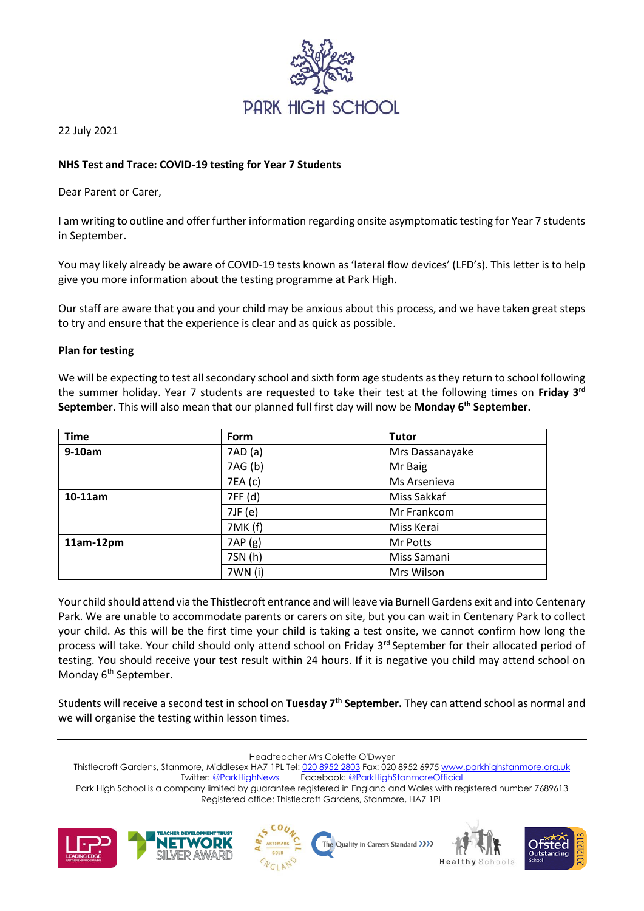

22 July 2021

# **NHS Test and Trace: COVID-19 testing for Year 7 Students**

Dear Parent or Carer,

I am writing to outline and offer further information regarding onsite asymptomatic testing for Year 7 students in September.

You may likely already be aware of COVID-19 tests known as 'lateral flow devices' (LFD's). This letter is to help give you more information about the testing programme at Park High.

Our staff are aware that you and your child may be anxious about this process, and we have taken great steps to try and ensure that the experience is clear and as quick as possible.

## **Plan for testing**

We will be expecting to test all secondary school and sixth form age students as they return to school following the summer holiday. Year 7 students are requested to take their test at the following times on **Friday 3rd September.** This will also mean that our planned full first day will now be **Monday 6th September.** 

| <b>Time</b> | <b>Form</b> | <b>Tutor</b>    |
|-------------|-------------|-----------------|
| $9-10am$    | 7AD(a)      | Mrs Dassanayake |
|             | 7AG (b)     | Mr Baig         |
|             | 7EA (c)     | Ms Arsenieva    |
| $10-11$ am  | 7FF (d)     | Miss Sakkaf     |
|             | 7JF (e)     | Mr Frankcom     |
|             | 7MK(f)      | Miss Kerai      |
| $11am-12pm$ | 7AP(g)      | Mr Potts        |
|             | 7SN (h)     | Miss Samani     |
|             | 7WN (i)     | Mrs Wilson      |

Your child should attend via the Thistlecroft entrance and will leave via Burnell Gardens exit and into Centenary Park. We are unable to accommodate parents or carers on site, but you can wait in Centenary Park to collect your child. As this will be the first time your child is taking a test onsite, we cannot confirm how long the process will take. Your child should only attend school on Friday 3<sup>rd</sup> September for their allocated period of testing. You should receive your test result within 24 hours. If it is negative you child may attend school on Monday 6<sup>th</sup> September.

Students will receive a second test in school on **Tuesday 7th September.** They can attend school as normal and we will organise the testing within lesson times.

Headteacher Mrs Colette O'Dwyer

Thistlecroft Gardens, Stanmore, Middlesex HA7 1PL Tel[: 020 8952 2803](file://///phs-apps-06/Digital$/Templates/020%208952%202803) Fax: 020 8952 697[5 www.parkhighstanmore.org.uk](file://///phs-apps-06/Digital$/Templates/www.parkhighstanmore.org.uk) Twitter[: @ParkHighNews](https://twitter.com/ParkHighNews) Facebook[: @ParkHighStanmoreOfficial](https://www.facebook.com/pg/ParkHighStanmoreOfficial) Park High School is a company limited by guarantee registered in England and Wales with registered number 7689613

Registered office: Thistlecroft Gardens, Stanmore, HA7 1PL







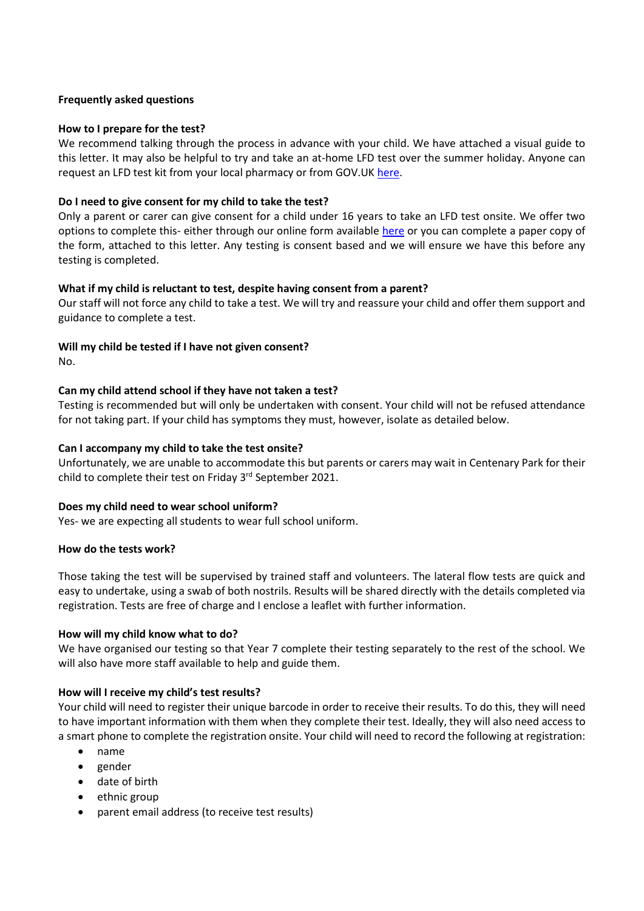### **Frequently asked questions**

## **How to I prepare for the test?**

We recommend talking through the process in advance with your child. We have attached a visual guide to this letter. It may also be helpful to try and take an at-home LFD test over the summer holiday. Anyone can request an LFD test kit from your local pharmacy or from GOV.U[K here.](https://www.gov.uk/order-coronavirus-rapid-lateral-flow-tests)

## **Do I need to give consent for my child to take the test?**

Only a parent or carer can give consent for a child under 16 years to take an LFD test onsite. We offer two options to complete this- either through our online form available [here](https://forms.office.com/Pages/ResponsePage.aspx?id=usNmU-XFykKh94RntjK46G0ruLn3e1tNgW1IVTUnSRdUNEMxUjhNRUZYS1cxRjVKTVozWUpMMzM3SS4u) or you can complete a paper copy of the form, attached to this letter. Any testing is consent based and we will ensure we have this before any testing is completed.

### **What if my child is reluctant to test, despite having consent from a parent?**

Our staff will not force any child to take a test. We will try and reassure your child and offer them support and guidance to complete a test.

### **Will my child be tested if I have not given consent?**

No.

## **Can my child attend school if they have not taken a test?**

Testing is recommended but will only be undertaken with consent. Your child will not be refused attendance for not taking part. If your child has symptoms they must, however, isolate as detailed below.

### **Can I accompany my child to take the test onsite?**

Unfortunately, we are unable to accommodate this but parents or carers may wait in Centenary Park for their child to complete their test on Friday 3rd September 2021.

### **Does my child need to wear school uniform?**

Yes- we are expecting all students to wear full school uniform.

### **How do the tests work?**

Those taking the test will be supervised by trained staff and volunteers. The lateral flow tests are quick and easy to undertake, using a swab of both nostrils. Results will be shared directly with the details completed via registration. Tests are free of charge and I enclose a leaflet with further information.

### **How will my child know what to do?**

We have organised our testing so that Year 7 complete their testing separately to the rest of the school. We will also have more staff available to help and guide them.

### **How will I receive my child's test results?**

Your child will need to register their unique barcode in order to receive their results. To do this, they will need to have important information with them when they complete their test. Ideally, they will also need access to a smart phone to complete the registration onsite. Your child will need to record the following at registration:

- name
- gender
- date of birth
- ethnic group
- parent email address (to receive test results)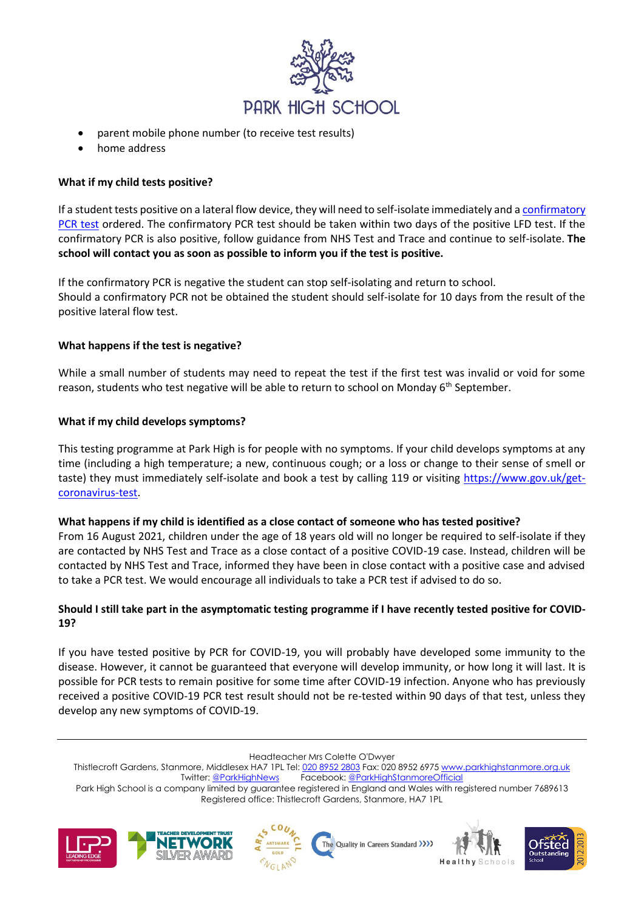

- parent mobile phone number (to receive test results)
- home address

## **What if my child tests positive?**

If a student tests positive on a lateral flow device, they will need to self-isolate immediately and [a confirmatory](https://www.gov.uk/get-coronavirus-test)  [PCR](https://www.gov.uk/get-coronavirus-test) test ordered. The confirmatory PCR test should be taken within two days of the positive LFD test. If the confirmatory PCR is also positive, follow guidance from NHS Test and Trace and continue to self-isolate. **The school will contact you as soon as possible to inform you if the test is positive.** 

If the confirmatory PCR is negative the student can stop self-isolating and return to school. Should a confirmatory PCR not be obtained the student should self-isolate for 10 days from the result of the positive lateral flow test.

### **What happens if the test is negative?**

While a small number of students may need to repeat the test if the first test was invalid or void for some reason, students who test negative will be able to return to school on Monday 6<sup>th</sup> September.

### **What if my child develops symptoms?**

This testing programme at Park High is for people with no symptoms. If your child develops symptoms at any time (including a high temperature; a new, continuous cough; or a loss or change to their sense of smell or taste) they must immediately self-isolate and book a test by calling 119 or visiting [https://www.gov.uk/get](https://www.gov.uk/get-coronavirus-test)[coronavirus-test.](https://www.gov.uk/get-coronavirus-test)

### **What happens if my child is identified as a close contact of someone who has tested positive?**

From 16 August 2021, children under the age of 18 years old will no longer be required to self-isolate if they are contacted by NHS Test and Trace as a close contact of a positive COVID-19 case. Instead, children will be contacted by NHS Test and Trace, informed they have been in close contact with a positive case and advised to take a PCR test. We would encourage all individuals to take a PCR test if advised to do so.

## **Should I still take part in the asymptomatic testing programme if I have recently tested positive for COVID-19?**

If you have tested positive by PCR for COVID-19, you will probably have developed some immunity to the disease. However, it cannot be guaranteed that everyone will develop immunity, or how long it will last. It is possible for PCR tests to remain positive for some time after COVID-19 infection. Anyone who has previously received a positive COVID-19 PCR test result should not be re-tested within 90 days of that test, unless they develop any new symptoms of COVID-19.

Headteacher Mrs Colette O'Dwyer

Thistlecroft Gardens, Stanmore, Middlesex HA7 1PL Tel[: 020 8952 2803](file://///phs-apps-06/Digital$/Templates/020%208952%202803) Fax: 020 8952 697[5 www.parkhighstanmore.org.uk](file://///phs-apps-06/Digital$/Templates/www.parkhighstanmore.org.uk) Twitter[: @ParkHighNews](https://twitter.com/ParkHighNews) Facebook[: @ParkHighStanmoreOfficial](https://www.facebook.com/pg/ParkHighStanmoreOfficial) Park High School is a company limited by guarantee registered in England and Wales with registered number 7689613 Registered office: Thistlecroft Gardens, Stanmore, HA7 1PL